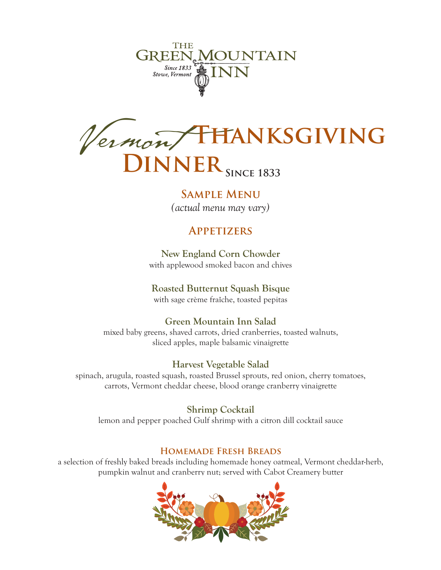

Vermont **Thanksgiving**  $NNER$ <sub>SINCE</sub> 1833

**Sample Menu**

*(actual menu may vary)*

# **Appetizers**

**New England Corn Chowder** with applewood smoked bacon and chives

# **Roasted Butternut Squash Bisque**

with sage crème fraîche, toasted pepitas

## **Green Mountain Inn Salad**

mixed baby greens, shaved carrots, dried cranberries, toasted walnuts, sliced apples, maple balsamic vinaigrette

## **Harvest Vegetable Salad**

spinach, arugula, roasted squash, roasted Brussel sprouts, red onion, cherry tomatoes, carrots, Vermont cheddar cheese, blood orange cranberry vinaigrette

**Shrimp Cocktail** lemon and pepper poached Gulf shrimp with a citron dill cocktail sauce

## **Homemade Fresh Breads**

a selection of freshly baked breads including homemade honey oatmeal, Vermont cheddar-herb, pumpkin walnut and cranberry nut; served with Cabot Creamery butter